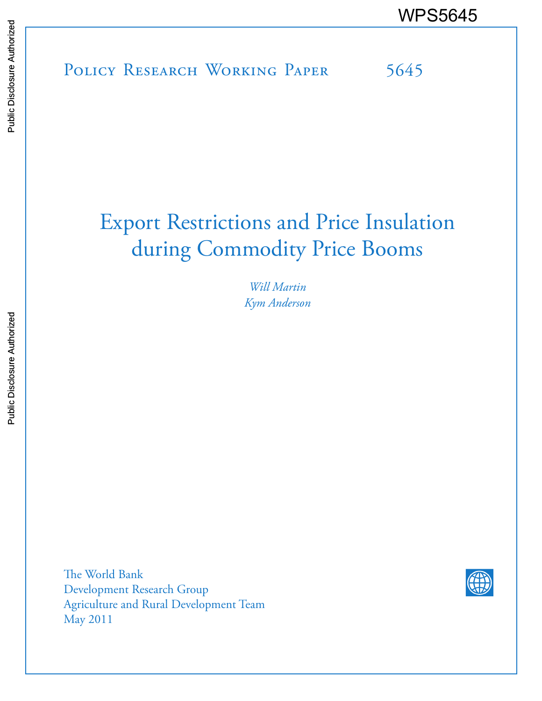POLICY RESEARCH WORKING PAPER 5645 WPS5645

# Export Restrictions and Price Insulation during Commodity Price Booms

*Will Martin Kym Anderson*

The World Bank Development Research Group Agriculture and Rural Development Team May 2011

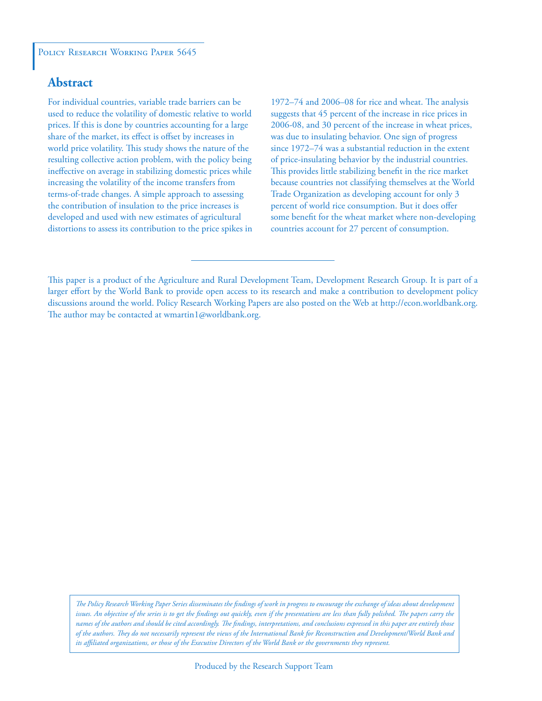### **Abstract**

For individual countries, variable trade barriers can be used to reduce the volatility of domestic relative to world prices. If this is done by countries accounting for a large share of the market, its effect is offset by increases in world price volatility. This study shows the nature of the resulting collective action problem, with the policy being ineffective on average in stabilizing domestic prices while increasing the volatility of the income transfers from terms-of-trade changes. A simple approach to assessing the contribution of insulation to the price increases is developed and used with new estimates of agricultural distortions to assess its contribution to the price spikes in 1972–74 and 2006–08 for rice and wheat. The analysis suggests that 45 percent of the increase in rice prices in 2006-08, and 30 percent of the increase in wheat prices, was due to insulating behavior. One sign of progress since 1972–74 was a substantial reduction in the extent of price-insulating behavior by the industrial countries. This provides little stabilizing benefit in the rice market because countries not classifying themselves at the World Trade Organization as developing account for only 3 percent of world rice consumption. But it does offer some benefit for the wheat market where non-developing countries account for 27 percent of consumption.

*The Policy Research Working Paper Series disseminates the findings of work in progress to encourage the exchange of ideas about development*  issues. An objective of the series is to get the findings out quickly, even if the presentations are less than fully polished. The papers carry the *names of the authors and should be cited accordingly. The findings, interpretations, and conclusions expressed in this paper are entirely those of the authors. They do not necessarily represent the views of the International Bank for Reconstruction and Development/World Bank and its affiliated organizations, or those of the Executive Directors of the World Bank or the governments they represent.*

This paper is a product of the Agriculture and Rural Development Team, Development Research Group. It is part of a larger effort by the World Bank to provide open access to its research and make a contribution to development policy discussions around the world. Policy Research Working Papers are also posted on the Web at http://econ.worldbank.org. The author may be contacted at wmartin1@worldbank.org.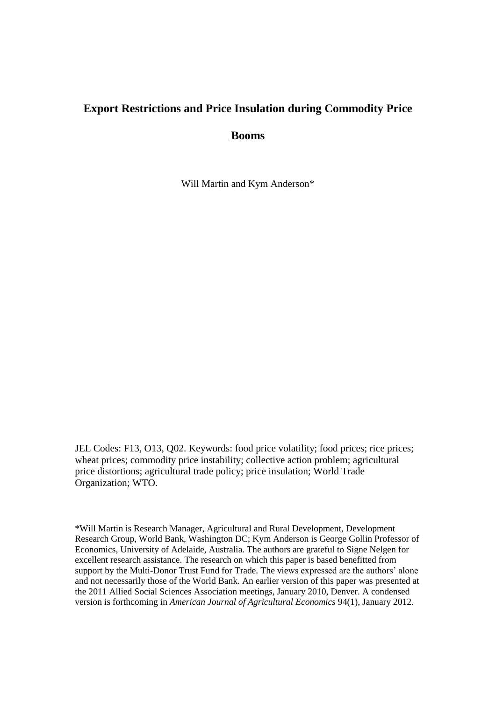## **Export Restrictions and Price Insulation during Commodity Price**

**Booms**

Will Martin and Kym Anderson\*

JEL Codes: F13, O13, Q02. Keywords: food price volatility; food prices; rice prices; wheat prices; commodity price instability; collective action problem; agricultural price distortions; agricultural trade policy; price insulation; World Trade Organization; WTO.

\*Will Martin is Research Manager, Agricultural and Rural Development, Development Research Group, World Bank, Washington DC; Kym Anderson is George Gollin Professor of Economics, University of Adelaide, Australia. The authors are grateful to Signe Nelgen for excellent research assistance. The research on which this paper is based benefitted from support by the Multi-Donor Trust Fund for Trade. The views expressed are the authors' alone and not necessarily those of the World Bank. An earlier version of this paper was presented at the 2011 Allied Social Sciences Association meetings, January 2010, Denver. A condensed version is forthcoming in *American Journal of Agricultural Economics* 94(1), January 2012.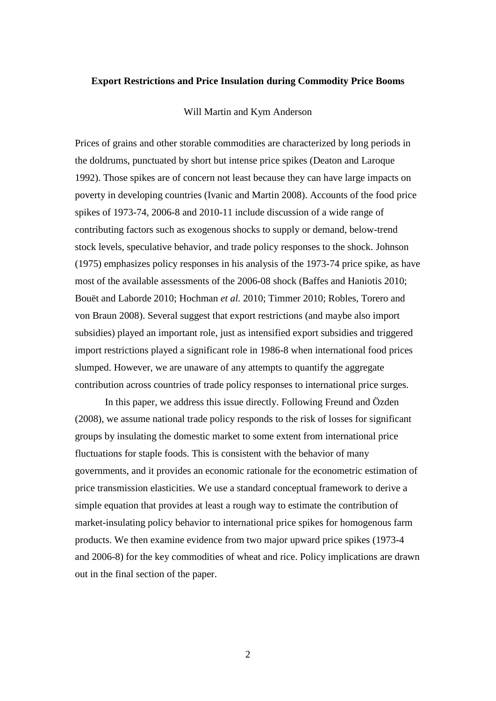#### **Export Restrictions and Price Insulation during Commodity Price Booms**

#### Will Martin and Kym Anderson

Prices of grains and other storable commodities are characterized by long periods in the doldrums, punctuated by short but intense price spikes (Deaton and Laroque 1992). Those spikes are of concern not least because they can have large impacts on poverty in developing countries (Ivanic and Martin 2008). Accounts of the food price spikes of 1973-74, 2006-8 and 2010-11 include discussion of a wide range of contributing factors such as exogenous shocks to supply or demand, below-trend stock levels, speculative behavior, and trade policy responses to the shock. Johnson (1975) emphasizes policy responses in his analysis of the 1973-74 price spike, as have most of the available assessments of the 2006-08 shock (Baffes and Haniotis 2010; Bouët and Laborde 2010; Hochman *et al.* 2010; Timmer 2010; Robles, Torero and von Braun 2008). Several suggest that export restrictions (and maybe also import subsidies) played an important role, just as intensified export subsidies and triggered import restrictions played a significant role in 1986-8 when international food prices slumped. However, we are unaware of any attempts to quantify the aggregate contribution across countries of trade policy responses to international price surges.

In this paper, we address this issue directly. Following Freund and Özden (2008), we assume national trade policy responds to the risk of losses for significant groups by insulating the domestic market to some extent from international price fluctuations for staple foods. This is consistent with the behavior of many governments, and it provides an economic rationale for the econometric estimation of price transmission elasticities. We use a standard conceptual framework to derive a simple equation that provides at least a rough way to estimate the contribution of market-insulating policy behavior to international price spikes for homogenous farm products. We then examine evidence from two major upward price spikes (1973-4 and 2006-8) for the key commodities of wheat and rice. Policy implications are drawn out in the final section of the paper.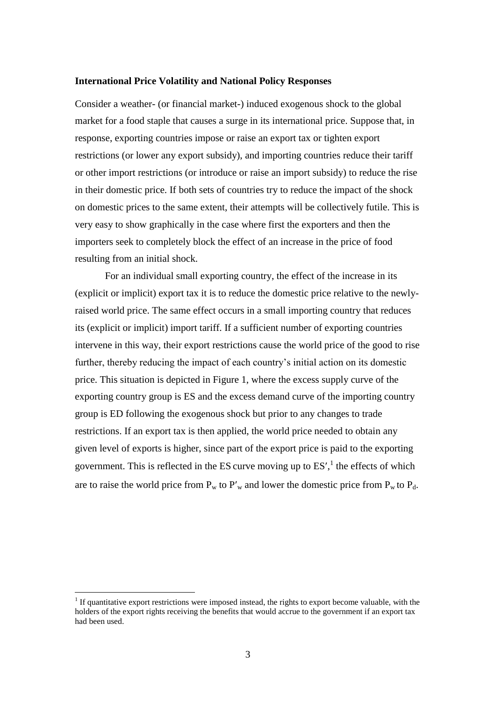#### **International Price Volatility and National Policy Responses**

Consider a weather- (or financial market-) induced exogenous shock to the global market for a food staple that causes a surge in its international price. Suppose that, in response, exporting countries impose or raise an export tax or tighten export restrictions (or lower any export subsidy), and importing countries reduce their tariff or other import restrictions (or introduce or raise an import subsidy) to reduce the rise in their domestic price. If both sets of countries try to reduce the impact of the shock on domestic prices to the same extent, their attempts will be collectively futile. This is very easy to show graphically in the case where first the exporters and then the importers seek to completely block the effect of an increase in the price of food resulting from an initial shock.

For an individual small exporting country, the effect of the increase in its (explicit or implicit) export tax it is to reduce the domestic price relative to the newlyraised world price. The same effect occurs in a small importing country that reduces its (explicit or implicit) import tariff. If a sufficient number of exporting countries intervene in this way, their export restrictions cause the world price of the good to rise further, thereby reducing the impact of each country's initial action on its domestic price. This situation is depicted in Figure 1, where the excess supply curve of the exporting country group is ES and the excess demand curve of the importing country group is ED following the exogenous shock but prior to any changes to trade restrictions. If an export tax is then applied, the world price needed to obtain any given level of exports is higher, since part of the export price is paid to the exporting government. This is reflected in the ES curve moving up to  $ES'$ , the effects of which are to raise the world price from  $P_w$  to  $P'_w$  and lower the domestic price from  $P_w$  to  $P_d$ .

<u>.</u>

<sup>&</sup>lt;sup>1</sup> If quantitative export restrictions were imposed instead, the rights to export become valuable, with the holders of the export rights receiving the benefits that would accrue to the government if an export tax had been used.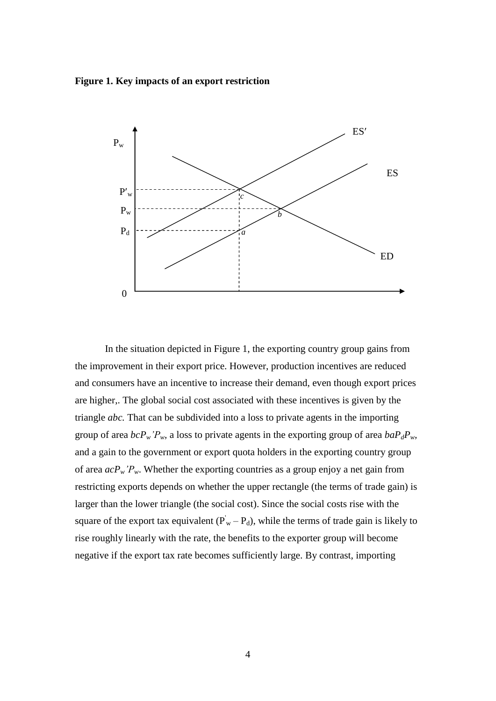**Figure 1. Key impacts of an export restriction**



In the situation depicted in Figure 1, the exporting country group gains from the improvement in their export price. However, production incentives are reduced and consumers have an incentive to increase their demand, even though export prices are higher,. The global social cost associated with these incentives is given by the triangle *abc.* That can be subdivided into a loss to private agents in the importing group of area  $bcP_w'P_w$ , a loss to private agents in the exporting group of area  $baP_dP_w$ , and a gain to the government or export quota holders in the exporting country group of area  $acP_w$ <sup>*'P<sub>w</sub>*. Whether the exporting countries as a group enjoy a net gain from</sup> restricting exports depends on whether the upper rectangle (the terms of trade gain) is larger than the lower triangle (the social cost). Since the social costs rise with the square of the export tax equivalent  $(P_w - P_d)$ , while the terms of trade gain is likely to rise roughly linearly with the rate, the benefits to the exporter group will become negative if the export tax rate becomes sufficiently large. By contrast, importing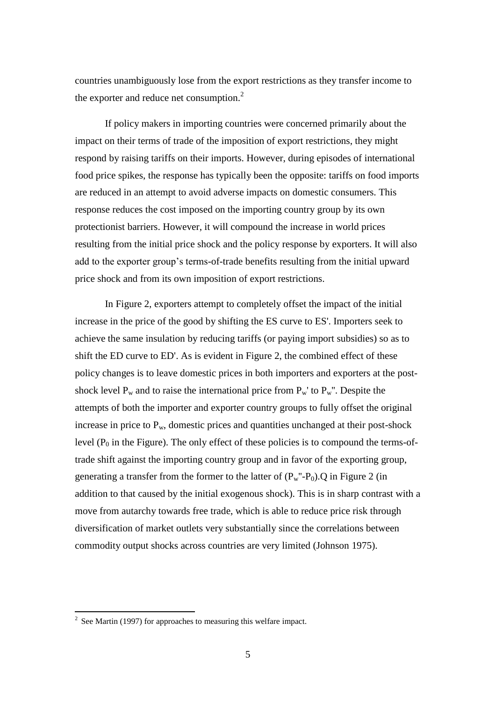countries unambiguously lose from the export restrictions as they transfer income to the exporter and reduce net consumption.<sup>2</sup>

If policy makers in importing countries were concerned primarily about the impact on their terms of trade of the imposition of export restrictions, they might respond by raising tariffs on their imports. However, during episodes of international food price spikes, the response has typically been the opposite: tariffs on food imports are reduced in an attempt to avoid adverse impacts on domestic consumers. This response reduces the cost imposed on the importing country group by its own protectionist barriers. However, it will compound the increase in world prices resulting from the initial price shock and the policy response by exporters. It will also add to the exporter group's terms-of-trade benefits resulting from the initial upward price shock and from its own imposition of export restrictions.

In Figure 2, exporters attempt to completely offset the impact of the initial increase in the price of the good by shifting the ES curve to ES'. Importers seek to achieve the same insulation by reducing tariffs (or paying import subsidies) so as to shift the ED curve to ED'. As is evident in Figure 2, the combined effect of these policy changes is to leave domestic prices in both importers and exporters at the postshock level  $P_w$  and to raise the international price from  $P_w$ ' to  $P_w$ ". Despite the attempts of both the importer and exporter country groups to fully offset the original increase in price to  $P_w$ , domestic prices and quantities unchanged at their post-shock level  $(P_0$  in the Figure). The only effect of these policies is to compound the terms-oftrade shift against the importing country group and in favor of the exporting group, generating a transfer from the former to the latter of  $(P_w''-P_0)$ . Q in Figure 2 (in addition to that caused by the initial exogenous shock). This is in sharp contrast with a move from autarchy towards free trade, which is able to reduce price risk through diversification of market outlets very substantially since the correlations between commodity output shocks across countries are very limited (Johnson 1975).

<sup>&</sup>lt;sup>2</sup> See Martin (1997) for approaches to measuring this welfare impact.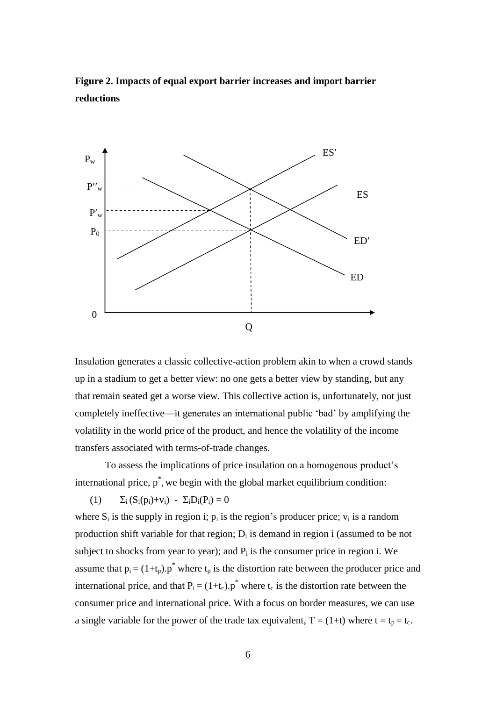**Figure 2. Impacts of equal export barrier increases and import barrier reductions**



Insulation generates a classic collective-action problem akin to when a crowd stands up in a stadium to get a better view: no one gets a better view by standing, but any that remain seated get a worse view. This collective action is, unfortunately, not just completely ineffective—it generates an international public 'bad' by amplifying the volatility in the world price of the product, and hence the volatility of the income transfers associated with terms-of-trade changes.

To assess the implications of price insulation on a homogenous product's international price,  $p^*$ , we begin with the global market equilibrium condition:

(1) 
$$
\Sigma_i (S_i(p_i)+v_i) - \Sigma_i D_i(P_i) = 0
$$

where  $S_i$  is the supply in region i;  $p_i$  is the region's producer price;  $v_i$  is a random production shift variable for that region;  $D_i$  is demand in region i (assumed to be not subject to shocks from year to year); and  $P_i$  is the consumer price in region i. We assume that  $p_i = (1+t_p) \cdot p^*$  where  $t_p$  is the distortion rate between the producer price and international price, and that  $P_i = (1+t_c)p^*$  where  $t_c$  is the distortion rate between the consumer price and international price. With a focus on border measures, we can use a single variable for the power of the trade tax equivalent,  $T = (1+t)$  where  $t = t_p = t_c$ .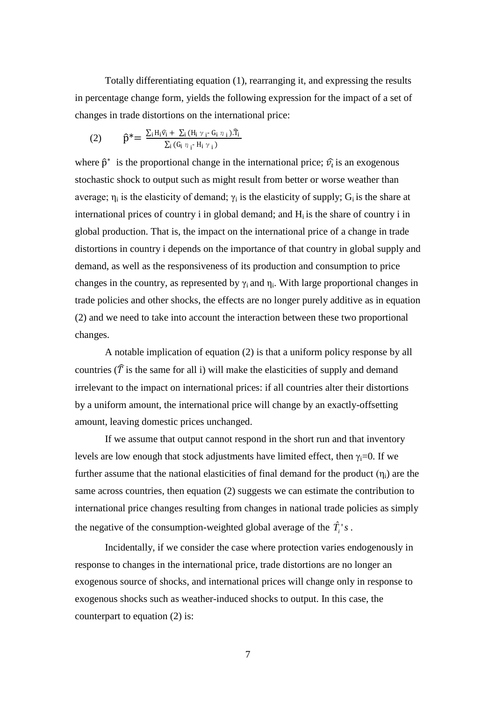Totally differentiating equation (1), rearranging it, and expressing the results in percentage change form, yields the following expression for the impact of a set of changes in trade distortions on the international price:

(2) 
$$
\hat{p}^* = \frac{\sum_i H_i \hat{v}_i + \sum_i (H_i \gamma_i - G_i \eta_i) . \hat{T}_i}{\sum_i (G_i \eta_i - H_i \gamma_i)}
$$

where  $\hat{p}^*$  is the proportional change in the international price;  $\hat{v}_i$  is an exogenous stochastic shock to output such as might result from better or worse weather than average;  $\eta_i$  is the elasticity of demand;  $\gamma_i$  is the elasticity of supply;  $G_i$  is the share at international prices of country i in global demand; and  $H_i$  is the share of country i in global production. That is, the impact on the international price of a change in trade distortions in country i depends on the importance of that country in global supply and demand, as well as the responsiveness of its production and consumption to price changes in the country, as represented by  $\gamma_i$  and  $\eta_i$ . With large proportional changes in trade policies and other shocks, the effects are no longer purely additive as in equation (2) and we need to take into account the interaction between these two proportional changes.

A notable implication of equation (2) is that a uniform policy response by all countries ( $\hat{T}$  is the same for all i) will make the elasticities of supply and demand irrelevant to the impact on international prices: if all countries alter their distortions by a uniform amount, the international price will change by an exactly-offsetting amount, leaving domestic prices unchanged.

If we assume that output cannot respond in the short run and that inventory levels are low enough that stock adjustments have limited effect, then  $\gamma_i=0$ . If we further assume that the national elasticities of final demand for the product  $(\eta_i)$  are the same across countries, then equation (2) suggests we can estimate the contribution to international price changes resulting from changes in national trade policies as simply the negative of the consumption-weighted global average of the  $\hat{T}_i$ 's.

Incidentally, if we consider the case where protection varies endogenously in response to changes in the international price, trade distortions are no longer an exogenous source of shocks, and international prices will change only in response to exogenous shocks such as weather-induced shocks to output. In this case, the counterpart to equation (2) is: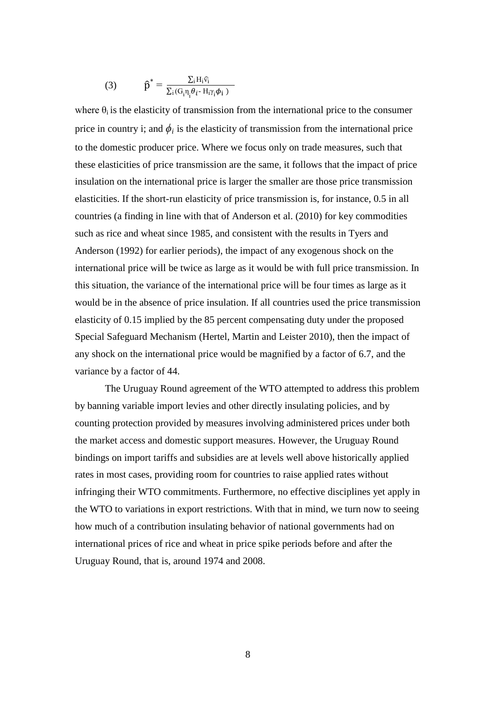(3) 
$$
\hat{p}^* = \frac{\sum_i H_i \hat{v}_i}{\sum_i (G_i \eta_i \theta_i - H_i \gamma_i \phi_i)}
$$

where  $\theta_i$  is the elasticity of transmission from the international price to the consumer price in country i; and  $\phi_i$  is the elasticity of transmission from the international price to the domestic producer price. Where we focus only on trade measures, such that these elasticities of price transmission are the same, it follows that the impact of price insulation on the international price is larger the smaller are those price transmission elasticities. If the short-run elasticity of price transmission is, for instance, 0.5 in all countries (a finding in line with that of Anderson et al. (2010) for key commodities such as rice and wheat since 1985, and consistent with the results in Tyers and Anderson (1992) for earlier periods), the impact of any exogenous shock on the international price will be twice as large as it would be with full price transmission. In this situation, the variance of the international price will be four times as large as it would be in the absence of price insulation. If all countries used the price transmission elasticity of 0.15 implied by the 85 percent compensating duty under the proposed Special Safeguard Mechanism (Hertel, Martin and Leister 2010), then the impact of any shock on the international price would be magnified by a factor of 6.7, and the variance by a factor of 44.

The Uruguay Round agreement of the WTO attempted to address this problem by banning variable import levies and other directly insulating policies, and by counting protection provided by measures involving administered prices under both the market access and domestic support measures. However, the Uruguay Round bindings on import tariffs and subsidies are at levels well above historically applied rates in most cases, providing room for countries to raise applied rates without infringing their WTO commitments. Furthermore, no effective disciplines yet apply in the WTO to variations in export restrictions. With that in mind, we turn now to seeing how much of a contribution insulating behavior of national governments had on international prices of rice and wheat in price spike periods before and after the Uruguay Round, that is, around 1974 and 2008.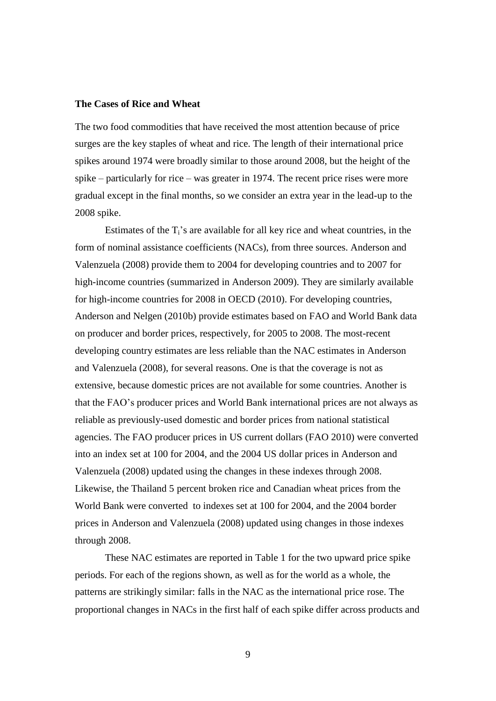#### **The Cases of Rice and Wheat**

The two food commodities that have received the most attention because of price surges are the key staples of wheat and rice. The length of their international price spikes around 1974 were broadly similar to those around 2008, but the height of the spike – particularly for rice – was greater in 1974. The recent price rises were more gradual except in the final months, so we consider an extra year in the lead-up to the 2008 spike.

Estimates of the  $T_i$ 's are available for all key rice and wheat countries, in the form of nominal assistance coefficients (NACs), from three sources. Anderson and Valenzuela (2008) provide them to 2004 for developing countries and to 2007 for high-income countries (summarized in Anderson 2009). They are similarly available for high-income countries for 2008 in OECD (2010). For developing countries, Anderson and Nelgen (2010b) provide estimates based on FAO and World Bank data on producer and border prices, respectively, for 2005 to 2008. The most-recent developing country estimates are less reliable than the NAC estimates in Anderson and Valenzuela (2008), for several reasons. One is that the coverage is not as extensive, because domestic prices are not available for some countries. Another is that the FAO's producer prices and World Bank international prices are not always as reliable as previously-used domestic and border prices from national statistical agencies. The FAO producer prices in US current dollars (FAO 2010) were converted into an index set at 100 for 2004, and the 2004 US dollar prices in Anderson and Valenzuela (2008) updated using the changes in these indexes through 2008. Likewise, the Thailand 5 percent broken rice and Canadian wheat prices from the World Bank were converted to indexes set at 100 for 2004, and the 2004 border prices in Anderson and Valenzuela (2008) updated using changes in those indexes through 2008.

These NAC estimates are reported in Table 1 for the two upward price spike periods. For each of the regions shown, as well as for the world as a whole, the patterns are strikingly similar: falls in the NAC as the international price rose. The proportional changes in NACs in the first half of each spike differ across products and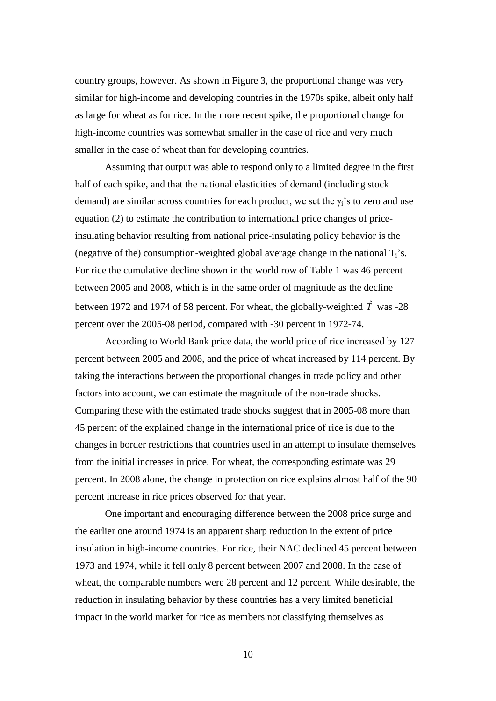country groups, however. As shown in Figure 3, the proportional change was very similar for high-income and developing countries in the 1970s spike, albeit only half as large for wheat as for rice. In the more recent spike, the proportional change for high-income countries was somewhat smaller in the case of rice and very much smaller in the case of wheat than for developing countries.

Assuming that output was able to respond only to a limited degree in the first half of each spike, and that the national elasticities of demand (including stock demand) are similar across countries for each product, we set the  $\gamma_i$ 's to zero and use equation (2) to estimate the contribution to international price changes of priceinsulating behavior resulting from national price-insulating policy behavior is the (negative of the) consumption-weighted global average change in the national  $T_i$ 's. For rice the cumulative decline shown in the world row of Table 1 was 46 percent between 2005 and 2008, which is in the same order of magnitude as the decline between 1972 and 1974 of 58 percent. For wheat, the globally-weighted  $\hat{T}$  was -28 percent over the 2005-08 period, compared with -30 percent in 1972-74.

According to World Bank price data, the world price of rice increased by 127 percent between 2005 and 2008, and the price of wheat increased by 114 percent. By taking the interactions between the proportional changes in trade policy and other factors into account, we can estimate the magnitude of the non-trade shocks. Comparing these with the estimated trade shocks suggest that in 2005-08 more than 45 percent of the explained change in the international price of rice is due to the changes in border restrictions that countries used in an attempt to insulate themselves from the initial increases in price. For wheat, the corresponding estimate was 29 percent. In 2008 alone, the change in protection on rice explains almost half of the 90 percent increase in rice prices observed for that year.

One important and encouraging difference between the 2008 price surge and the earlier one around 1974 is an apparent sharp reduction in the extent of price insulation in high-income countries. For rice, their NAC declined 45 percent between 1973 and 1974, while it fell only 8 percent between 2007 and 2008. In the case of wheat, the comparable numbers were 28 percent and 12 percent. While desirable, the reduction in insulating behavior by these countries has a very limited beneficial impact in the world market for rice as members not classifying themselves as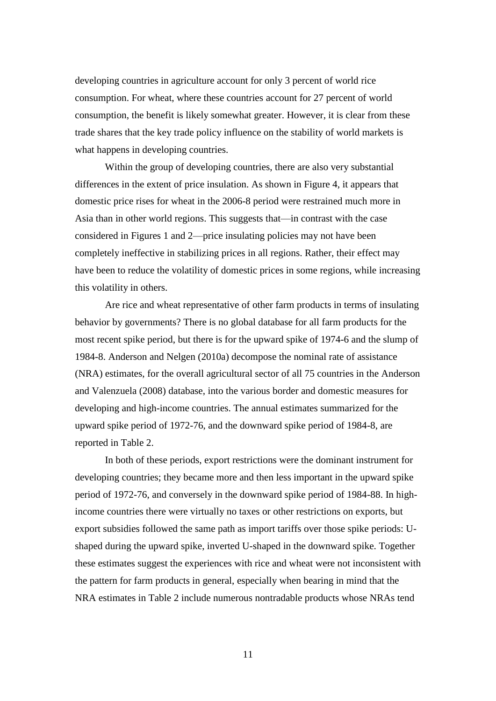developing countries in agriculture account for only 3 percent of world rice consumption. For wheat, where these countries account for 27 percent of world consumption, the benefit is likely somewhat greater. However, it is clear from these trade shares that the key trade policy influence on the stability of world markets is what happens in developing countries.

Within the group of developing countries, there are also very substantial differences in the extent of price insulation. As shown in Figure 4, it appears that domestic price rises for wheat in the 2006-8 period were restrained much more in Asia than in other world regions. This suggests that—in contrast with the case considered in Figures 1 and 2—price insulating policies may not have been completely ineffective in stabilizing prices in all regions. Rather, their effect may have been to reduce the volatility of domestic prices in some regions, while increasing this volatility in others.

Are rice and wheat representative of other farm products in terms of insulating behavior by governments? There is no global database for all farm products for the most recent spike period, but there is for the upward spike of 1974-6 and the slump of 1984-8. Anderson and Nelgen (2010a) decompose the nominal rate of assistance (NRA) estimates, for the overall agricultural sector of all 75 countries in the Anderson and Valenzuela (2008) database, into the various border and domestic measures for developing and high-income countries. The annual estimates summarized for the upward spike period of 1972-76, and the downward spike period of 1984-8, are reported in Table 2.

In both of these periods, export restrictions were the dominant instrument for developing countries; they became more and then less important in the upward spike period of 1972-76, and conversely in the downward spike period of 1984-88. In highincome countries there were virtually no taxes or other restrictions on exports, but export subsidies followed the same path as import tariffs over those spike periods: Ushaped during the upward spike, inverted U-shaped in the downward spike. Together these estimates suggest the experiences with rice and wheat were not inconsistent with the pattern for farm products in general, especially when bearing in mind that the NRA estimates in Table 2 include numerous nontradable products whose NRAs tend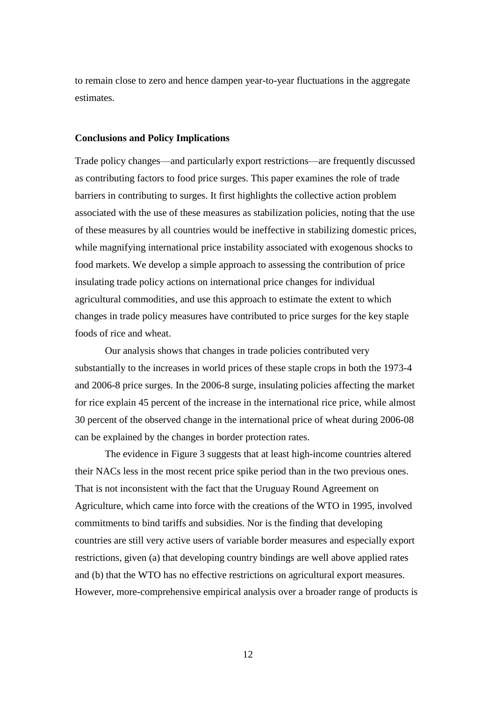to remain close to zero and hence dampen year-to-year fluctuations in the aggregate estimates.

#### **Conclusions and Policy Implications**

Trade policy changes—and particularly export restrictions—are frequently discussed as contributing factors to food price surges. This paper examines the role of trade barriers in contributing to surges. It first highlights the collective action problem associated with the use of these measures as stabilization policies, noting that the use of these measures by all countries would be ineffective in stabilizing domestic prices, while magnifying international price instability associated with exogenous shocks to food markets. We develop a simple approach to assessing the contribution of price insulating trade policy actions on international price changes for individual agricultural commodities, and use this approach to estimate the extent to which changes in trade policy measures have contributed to price surges for the key staple foods of rice and wheat.

Our analysis shows that changes in trade policies contributed very substantially to the increases in world prices of these staple crops in both the 1973-4 and 2006-8 price surges. In the 2006-8 surge, insulating policies affecting the market for rice explain 45 percent of the increase in the international rice price, while almost 30 percent of the observed change in the international price of wheat during 2006-08 can be explained by the changes in border protection rates.

The evidence in Figure 3 suggests that at least high-income countries altered their NACs less in the most recent price spike period than in the two previous ones. That is not inconsistent with the fact that the Uruguay Round Agreement on Agriculture, which came into force with the creations of the WTO in 1995, involved commitments to bind tariffs and subsidies. Nor is the finding that developing countries are still very active users of variable border measures and especially export restrictions, given (a) that developing country bindings are well above applied rates and (b) that the WTO has no effective restrictions on agricultural export measures. However, more-comprehensive empirical analysis over a broader range of products is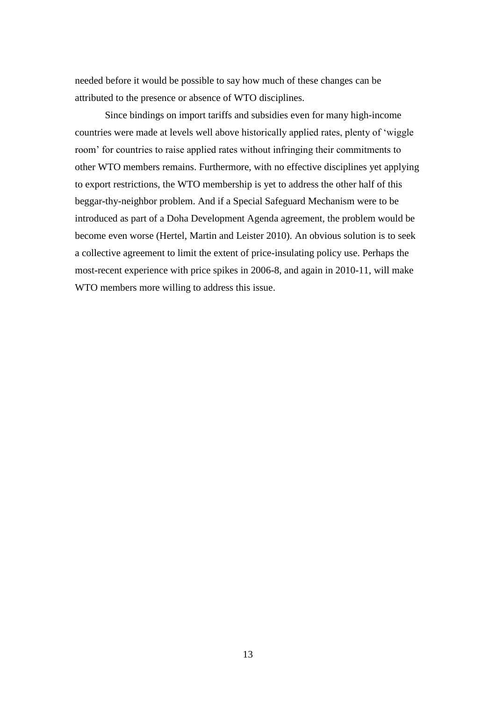needed before it would be possible to say how much of these changes can be attributed to the presence or absence of WTO disciplines.

Since bindings on import tariffs and subsidies even for many high-income countries were made at levels well above historically applied rates, plenty of 'wiggle room' for countries to raise applied rates without infringing their commitments to other WTO members remains. Furthermore, with no effective disciplines yet applying to export restrictions, the WTO membership is yet to address the other half of this beggar-thy-neighbor problem. And if a Special Safeguard Mechanism were to be introduced as part of a Doha Development Agenda agreement, the problem would be become even worse (Hertel, Martin and Leister 2010). An obvious solution is to seek a collective agreement to limit the extent of price-insulating policy use. Perhaps the most-recent experience with price spikes in 2006-8, and again in 2010-11, will make WTO members more willing to address this issue.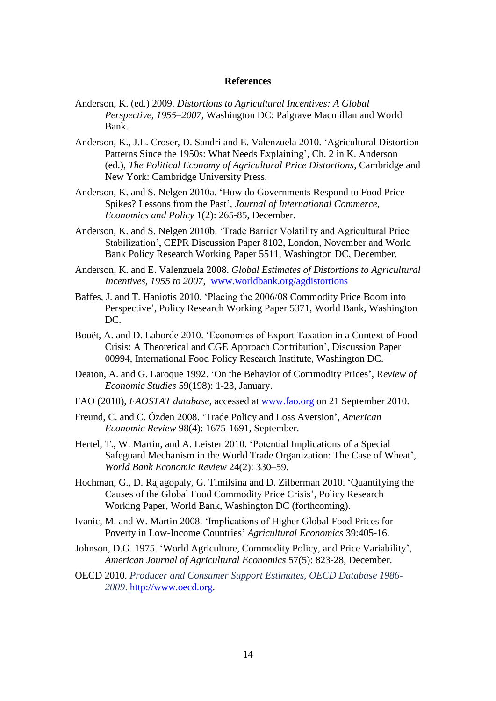#### **References**

- Anderson, K. (ed.) 2009. *Distortions to Agricultural Incentives: A Global Perspective, 1955–2007,* Washington DC: Palgrave Macmillan and World Bank.
- Anderson, K., J.L. Croser, D. Sandri and E. Valenzuela 2010. 'Agricultural Distortion Patterns Since the 1950s: What Needs Explaining', Ch. 2 in K. Anderson (ed.), *The Political Economy of Agricultural Price Distortions*, Cambridge and New York: Cambridge University Press.
- Anderson, K. and S. Nelgen 2010a. 'How do Governments Respond to Food Price Spikes? Lessons from the Past', *Journal of International Commerce, Economics and Policy* 1(2): 265-85, December.
- Anderson, K. and S. Nelgen 2010b. 'Trade Barrier Volatility and Agricultural Price Stabilization', CEPR Discussion Paper 8102, London, November and World Bank Policy Research Working Paper 5511, Washington DC, December.
- Anderson, K. and E. Valenzuela 2008. *Global Estimates of Distortions to Agricultural Incentives, 1955 to 2007*, [www.worldbank.org/agdistortions](http://www.worldbank.org/agdistortions)
- Baffes, J. and T. Haniotis 2010. 'Placing the 2006/08 Commodity Price Boom into Perspective', Policy Research Working Paper 5371, World Bank, Washington DC.
- Bouët, A. and D. Laborde 2010. 'Economics of Export Taxation in a Context of Food Crisis: A Theoretical and CGE Approach Contribution', Discussion Paper 00994, International Food Policy Research Institute, Washington DC.
- Deaton, A. and G. Laroque 1992. 'On the Behavior of Commodity Prices', R*eview of Economic Studies* 59(198): 1-23, January.
- FAO (2010), *FAOSTAT database*, accessed at [www.fao.org](http://www.fao.org/) on 21 September 2010.
- Freund, C. and C. Özden 2008. 'Trade Policy and Loss Aversion', *American Economic Review* 98(4): 1675-1691, September.
- Hertel, T., W. Martin, and A. Leister 2010. 'Potential Implications of a Special Safeguard Mechanism in the World Trade Organization: The Case of Wheat', *World Bank Economic Review* 24(2): 330–59.
- Hochman, G., D. Rajagopaly, G. Timilsina and D. Zilberman 2010. 'Quantifying the Causes of the Global Food Commodity Price Crisis', Policy Research Working Paper, World Bank, Washington DC (forthcoming).
- Ivanic, M. and W. Martin 2008. 'Implications of Higher Global Food Prices for Poverty in Low-Income Countries' *Agricultural Economics* 39:405-16.
- Johnson, D.G. 1975. 'World Agriculture, Commodity Policy, and Price Variability', *American Journal of Agricultural Economics* 57(5): 823-28, December.
- OECD 2010. *Producer and Consumer Support Estimates, OECD Database 1986- 2009*. [http://www.oecd.org.](http://www.oecd.org/)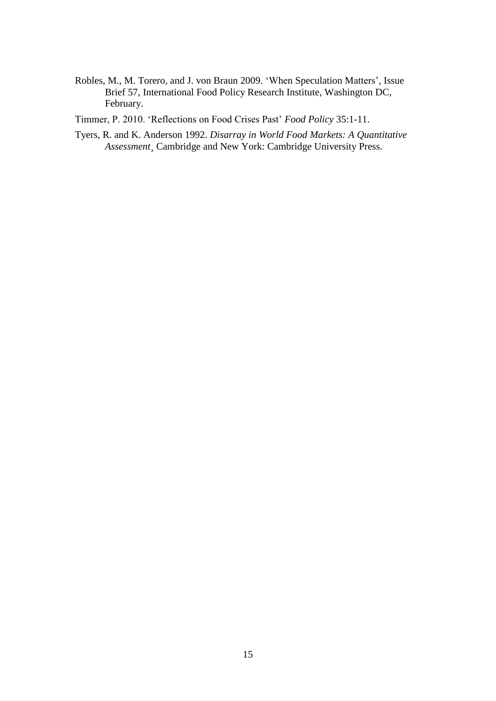Robles, M., M. Torero, and J. von Braun 2009. 'When Speculation Matters', Issue Brief 57, International Food Policy Research Institute, Washington DC, February.

Timmer, P. 2010. 'Reflections on Food Crises Past' *Food Policy* 35:1-11.

Tyers, R. and K. Anderson 1992. *Disarray in World Food Markets: A Quantitative Assessment¸* Cambridge and New York: Cambridge University Press.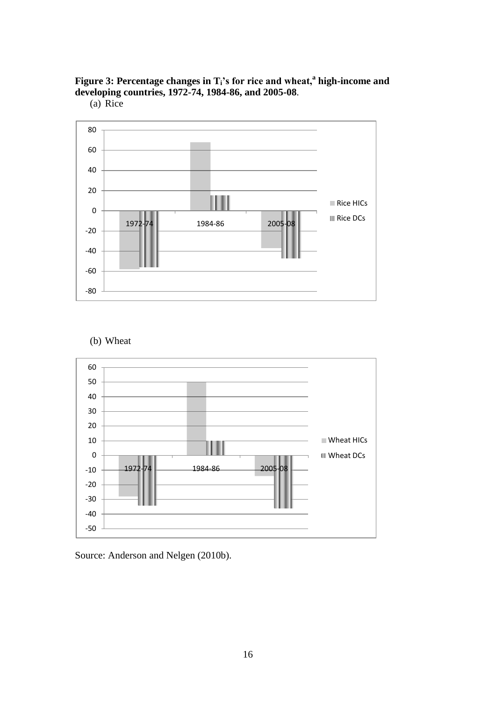

(a) Rice



(b) Wheat



Source: Anderson and Nelgen (2010b).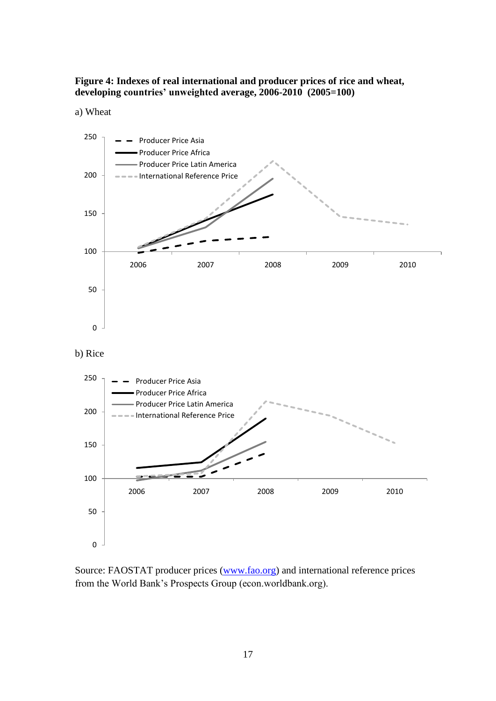**Figure 4: Indexes of real international and producer prices of rice and wheat, developing countries' unweighted average, 2006-2010 (2005=100)**





Source: FAOSTAT producer prices [\(www.fao.org\)](http://www.fao.org/) and international reference prices from the World Bank's Prospects Group (econ.worldbank.org).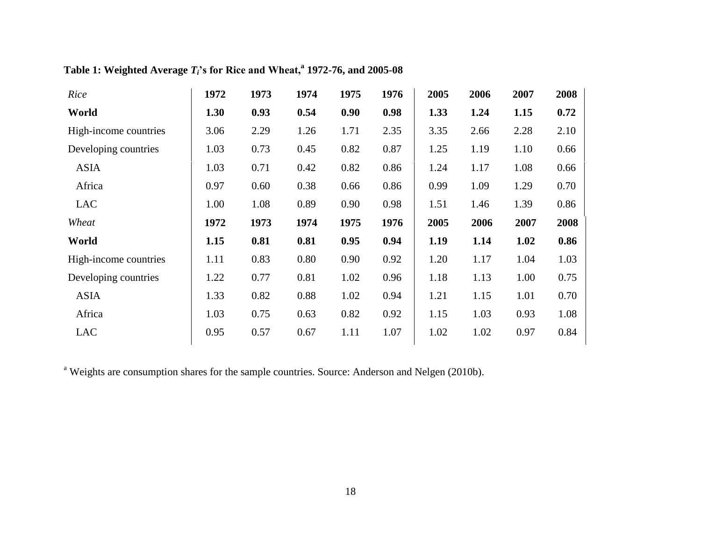|  |  |  |  |  |  |  | Table 1: Weighted Average $T_i$ 's for Rice and Wheat, <sup>a</sup> 1972-76, and 2005-08 |
|--|--|--|--|--|--|--|------------------------------------------------------------------------------------------|
|--|--|--|--|--|--|--|------------------------------------------------------------------------------------------|

| Rice                  | 1972 | 1973 | 1974 | 1975 | 1976 | 2005 | 2006 | 2007 | 2008 |
|-----------------------|------|------|------|------|------|------|------|------|------|
| World                 | 1.30 | 0.93 | 0.54 | 0.90 | 0.98 | 1.33 | 1.24 | 1.15 | 0.72 |
| High-income countries | 3.06 | 2.29 | 1.26 | 1.71 | 2.35 | 3.35 | 2.66 | 2.28 | 2.10 |
| Developing countries  | 1.03 | 0.73 | 0.45 | 0.82 | 0.87 | 1.25 | 1.19 | 1.10 | 0.66 |
| <b>ASIA</b>           | 1.03 | 0.71 | 0.42 | 0.82 | 0.86 | 1.24 | 1.17 | 1.08 | 0.66 |
| Africa                | 0.97 | 0.60 | 0.38 | 0.66 | 0.86 | 0.99 | 1.09 | 1.29 | 0.70 |
| <b>LAC</b>            | 1.00 | 1.08 | 0.89 | 0.90 | 0.98 | 1.51 | 1.46 | 1.39 | 0.86 |
| Wheat                 | 1972 | 1973 | 1974 | 1975 | 1976 | 2005 | 2006 | 2007 | 2008 |
| World                 | 1.15 | 0.81 | 0.81 | 0.95 | 0.94 | 1.19 | 1.14 | 1.02 | 0.86 |
| High-income countries | 1.11 | 0.83 | 0.80 | 0.90 | 0.92 | 1.20 | 1.17 | 1.04 | 1.03 |
| Developing countries  |      |      |      |      |      |      |      |      |      |
|                       | 1.22 | 0.77 | 0.81 | 1.02 | 0.96 | 1.18 | 1.13 | 1.00 | 0.75 |
| <b>ASIA</b>           | 1.33 | 0.82 | 0.88 | 1.02 | 0.94 | 1.21 | 1.15 | 1.01 | 0.70 |
| Africa                | 1.03 | 0.75 | 0.63 | 0.82 | 0.92 | 1.15 | 1.03 | 0.93 | 1.08 |

<sup>a</sup> Weights are consumption shares for the sample countries. Source: Anderson and Nelgen (2010b).